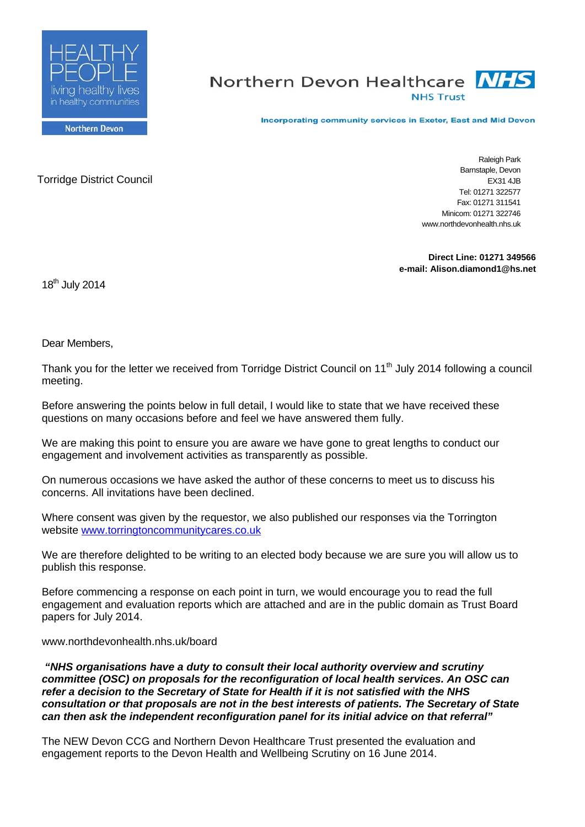

# Northern Devon Healthcare **NHS NHS Trust**

Incorporating community services in Exeter, East and Mid Devon

**Northern Devon** 

Torridge District Council

Raleigh Park Barnstaple, Devon EX31 4JB Tel: 01271 322577 Fax: 01271 311541 Minicom: 01271 322746 www.northdevonhealth.nhs.uk

**Direct Line: 01271 349566 e-mail: Alison.diamond1@hs.net**

18<sup>th</sup> July 2014

Dear Members,

Thank you for the letter we received from Torridge District Council on 11<sup>th</sup> July 2014 following a council meeting.

Before answering the points below in full detail, I would like to state that we have received these questions on many occasions before and feel we have answered them fully.

We are making this point to ensure you are aware we have gone to great lengths to conduct our engagement and involvement activities as transparently as possible.

On numerous occasions we have asked the author of these concerns to meet us to discuss his concerns. All invitations have been declined.

Where consent was given by the requestor, we also published our responses via the Torrington website [www.torringtoncommunitycares.co.uk](http://www.torringtoncommunitycares.co.uk/)

We are therefore delighted to be writing to an elected body because we are sure you will allow us to publish this response.

Before commencing a response on each point in turn, we would encourage you to read the full engagement and evaluation reports which are attached and are in the public domain as Trust Board papers for July 2014.

#### www.northdevonhealth.nhs.uk/board

*"NHS organisations have a duty to consult their local authority overview and scrutiny committee (OSC) on proposals for the reconfiguration of local health services. An OSC can refer a decision to the Secretary of State for Health if it is not satisfied with the NHS consultation or that proposals are not in the best interests of patients. The Secretary of State can then ask the independent reconfiguration panel for its initial advice on that referral"*

The NEW Devon CCG and Northern Devon Healthcare Trust presented the evaluation and engagement reports to the Devon Health and Wellbeing Scrutiny on 16 June 2014.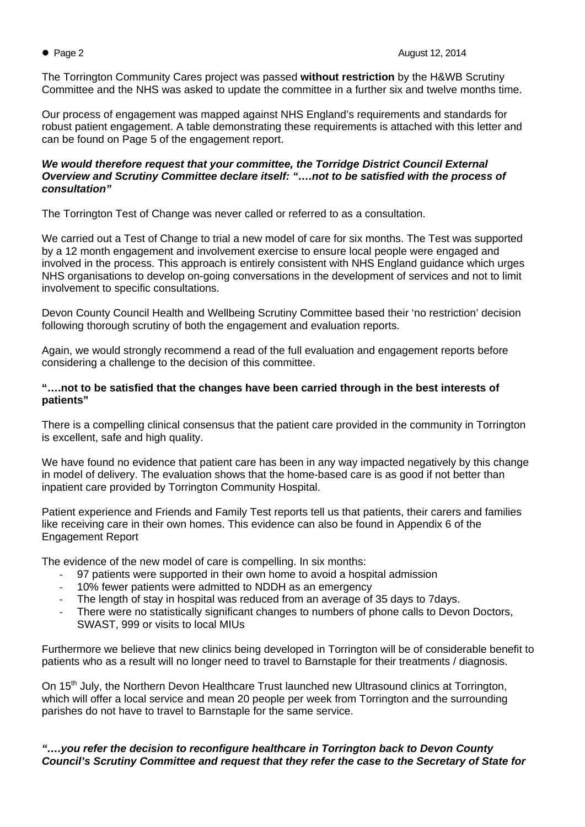The Torrington Community Cares project was passed **without restriction** by the H&WB Scrutiny Committee and the NHS was asked to update the committee in a further six and twelve months time.

Our process of engagement was mapped against NHS England's requirements and standards for robust patient engagement. A table demonstrating these requirements is attached with this letter and can be found on Page 5 of the engagement report.

### *We would therefore request that your committee, the Torridge District Council External Overview and Scrutiny Committee declare itself: "….not to be satisfied with the process of consultation"*

The Torrington Test of Change was never called or referred to as a consultation.

We carried out a Test of Change to trial a new model of care for six months. The Test was supported by a 12 month engagement and involvement exercise to ensure local people were engaged and involved in the process. This approach is entirely consistent with NHS England guidance which urges NHS organisations to develop on-going conversations in the development of services and not to limit involvement to specific consultations.

Devon County Council Health and Wellbeing Scrutiny Committee based their 'no restriction' decision following thorough scrutiny of both the engagement and evaluation reports.

Again, we would strongly recommend a read of the full evaluation and engagement reports before considering a challenge to the decision of this committee.

# **"….not to be satisfied that the changes have been carried through in the best interests of patients"**

There is a compelling clinical consensus that the patient care provided in the community in Torrington is excellent, safe and high quality.

We have found no evidence that patient care has been in any way impacted negatively by this change in model of delivery. The evaluation shows that the home-based care is as good if not better than inpatient care provided by Torrington Community Hospital.

Patient experience and Friends and Family Test reports tell us that patients, their carers and families like receiving care in their own homes. This evidence can also be found in Appendix 6 of the Engagement Report

The evidence of the new model of care is compelling. In six months:

- 97 patients were supported in their own home to avoid a hospital admission
- 10% fewer patients were admitted to NDDH as an emergency
- The length of stay in hospital was reduced from an average of 35 days to 7 days.
- There were no statistically significant changes to numbers of phone calls to Devon Doctors, SWAST, 999 or visits to local MIUs

Furthermore we believe that new clinics being developed in Torrington will be of considerable benefit to patients who as a result will no longer need to travel to Barnstaple for their treatments / diagnosis.

On 15<sup>th</sup> July, the Northern Devon Healthcare Trust launched new Ultrasound clinics at Torrington, which will offer a local service and mean 20 people per week from Torrington and the surrounding parishes do not have to travel to Barnstaple for the same service.

*"….you refer the decision to reconfigure healthcare in Torrington back to Devon County Council's Scrutiny Committee and request that they refer the case to the Secretary of State for*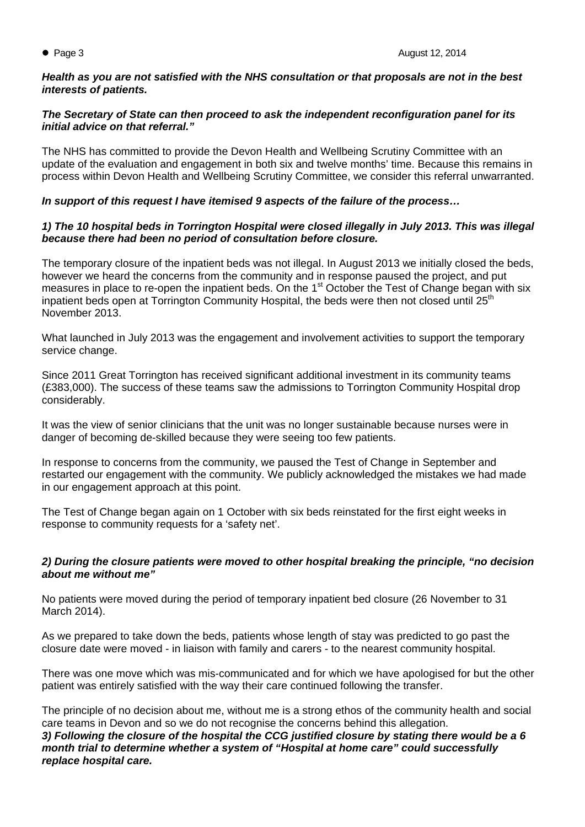### *Health as you are not satisfied with the NHS consultation or that proposals are not in the best interests of patients.*

# *The Secretary of State can then proceed to ask the independent reconfiguration panel for its initial advice on that referral."*

The NHS has committed to provide the Devon Health and Wellbeing Scrutiny Committee with an update of the evaluation and engagement in both six and twelve months' time. Because this remains in process within Devon Health and Wellbeing Scrutiny Committee, we consider this referral unwarranted.

# *In support of this request I have itemised 9 aspects of the failure of the process…*

# *1) The 10 hospital beds in Torrington Hospital were closed illegally in July 2013. This was illegal because there had been no period of consultation before closure.*

The temporary closure of the inpatient beds was not illegal. In August 2013 we initially closed the beds, however we heard the concerns from the community and in response paused the project, and put measures in place to re-open the inpatient beds. On the 1<sup>st</sup> October the Test of Change began with six inpatient beds open at Torrington Community Hospital, the beds were then not closed until 25<sup>th</sup> November 2013.

What launched in July 2013 was the engagement and involvement activities to support the temporary service change.

Since 2011 Great Torrington has received significant additional investment in its community teams (£383,000). The success of these teams saw the admissions to Torrington Community Hospital drop considerably.

It was the view of senior clinicians that the unit was no longer sustainable because nurses were in danger of becoming de-skilled because they were seeing too few patients.

In response to concerns from the community, we paused the Test of Change in September and restarted our engagement with the community. We publicly acknowledged the mistakes we had made in our engagement approach at this point.

The Test of Change began again on 1 October with six beds reinstated for the first eight weeks in response to community requests for a 'safety net'.

# *2) During the closure patients were moved to other hospital breaking the principle, "no decision about me without me"*

No patients were moved during the period of temporary inpatient bed closure (26 November to 31 March 2014).

As we prepared to take down the beds, patients whose length of stay was predicted to go past the closure date were moved - in liaison with family and carers - to the nearest community hospital.

There was one move which was mis-communicated and for which we have apologised for but the other patient was entirely satisfied with the way their care continued following the transfer.

The principle of no decision about me, without me is a strong ethos of the community health and social care teams in Devon and so we do not recognise the concerns behind this allegation.

*3) Following the closure of the hospital the CCG justified closure by stating there would be a 6 month trial to determine whether a system of "Hospital at home care" could successfully replace hospital care.*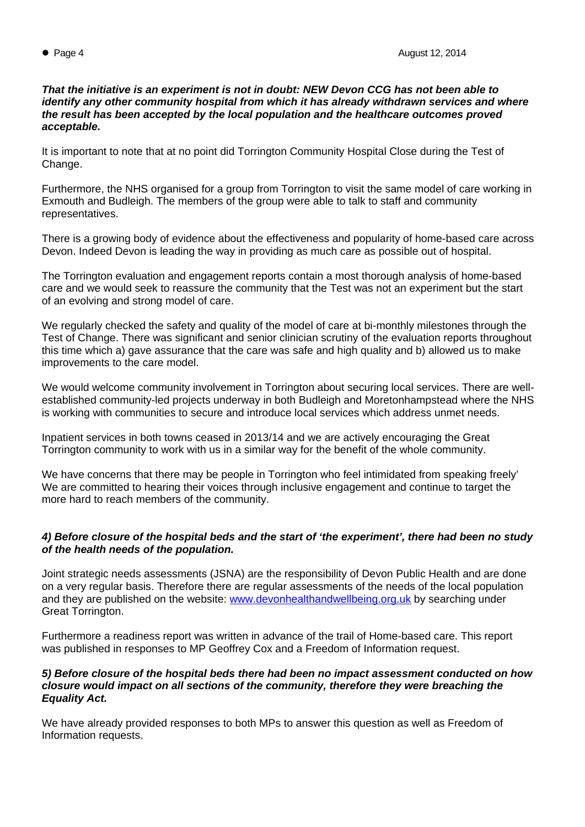#### *That the initiative is an experiment is not in doubt: NEW Devon CCG has not been able to identify any other community hospital from which it has already withdrawn services and where the result has been accepted by the local population and the healthcare outcomes proved acceptable.*

It is important to note that at no point did Torrington Community Hospital Close during the Test of Change.

Furthermore, the NHS organised for a group from Torrington to visit the same model of care working in Exmouth and Budleigh. The members of the group were able to talk to staff and community representatives.

There is a growing body of evidence about the effectiveness and popularity of home-based care across Devon. Indeed Devon is leading the way in providing as much care as possible out of hospital.

The Torrington evaluation and engagement reports contain a most thorough analysis of home-based care and we would seek to reassure the community that the Test was not an experiment but the start of an evolving and strong model of care.

We regularly checked the safety and quality of the model of care at bi-monthly milestones through the Test of Change. There was significant and senior clinician scrutiny of the evaluation reports throughout this time which a) gave assurance that the care was safe and high quality and b) allowed us to make improvements to the care model.

We would welcome community involvement in Torrington about securing local services. There are wellestablished community-led projects underway in both Budleigh and Moretonhampstead where the NHS is working with communities to secure and introduce local services which address unmet needs.

Inpatient services in both towns ceased in 2013/14 and we are actively encouraging the Great Torrington community to work with us in a similar way for the benefit of the whole community.

We have concerns that there may be people in Torrington who feel intimidated from speaking freely' We are committed to hearing their voices through inclusive engagement and continue to target the more hard to reach members of the community.

# *4) Before closure of the hospital beds and the start of 'the experiment', there had been no study of the health needs of the population.*

Joint strategic needs assessments (JSNA) are the responsibility of Devon Public Health and are done on a very regular basis. Therefore there are regular assessments of the needs of the local population and they are published on the website: [www.devonhealthandwellbeing.org.uk](http://www.devonhealthandwellbeing.org.uk/) by searching under Great Torrington.

Furthermore a readiness report was written in advance of the trail of Home-based care. This report was published in responses to MP Geoffrey Cox and a Freedom of Information request.

### *5) Before closure of the hospital beds there had been no impact assessment conducted on how closure would impact on all sections of the community, therefore they were breaching the Equality Act.*

We have already provided responses to both MPs to answer this question as well as Freedom of Information requests.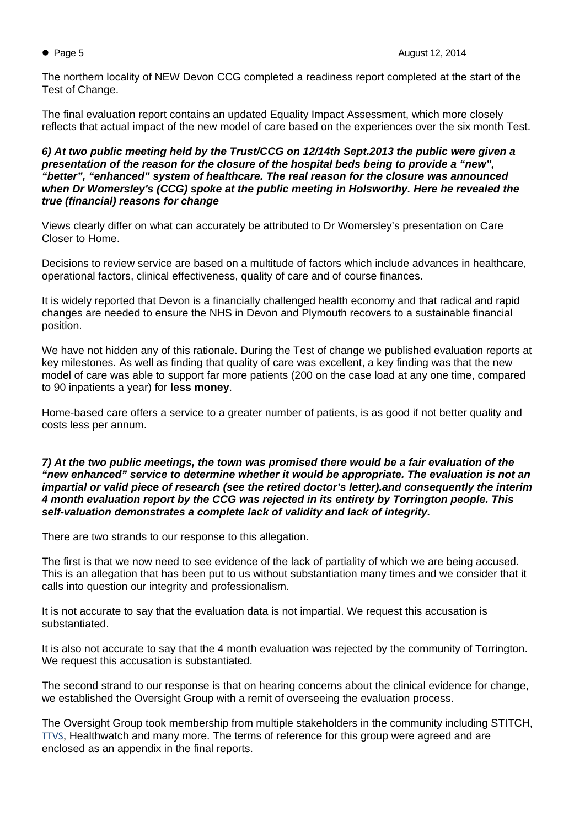The northern locality of NEW Devon CCG completed a readiness report completed at the start of the Test of Change.

The final evaluation report contains an updated Equality Impact Assessment, which more closely reflects that actual impact of the new model of care based on the experiences over the six month Test.

*6) At two public meeting held by the Trust/CCG on 12/14th Sept.2013 the public were given a presentation of the reason for the closure of the hospital beds being to provide a "new", "better", "enhanced" system of healthcare. The real reason for the closure was announced when Dr Womersley's (CCG) spoke at the public meeting in Holsworthy. Here he revealed the true (financial) reasons for change* 

Views clearly differ on what can accurately be attributed to Dr Womersley's presentation on Care Closer to Home.

Decisions to review service are based on a multitude of factors which include advances in healthcare, operational factors, clinical effectiveness, quality of care and of course finances.

It is widely reported that Devon is a financially challenged health economy and that radical and rapid changes are needed to ensure the NHS in Devon and Plymouth recovers to a sustainable financial position.

We have not hidden any of this rationale. During the Test of change we published evaluation reports at key milestones. As well as finding that quality of care was excellent, a key finding was that the new model of care was able to support far more patients (200 on the case load at any one time, compared to 90 inpatients a year) for **less money**.

Home-based care offers a service to a greater number of patients, is as good if not better quality and costs less per annum.

### *7) At the two public meetings, the town was promised there would be a fair evaluation of the "new enhanced" service to determine whether it would be appropriate. The evaluation is not an impartial or valid piece of research (see the retired doctor's letter).and consequently the interim 4 month evaluation report by the CCG was rejected in its entirety by Torrington people. This self-valuation demonstrates a complete lack of validity and lack of integrity.*

There are two strands to our response to this allegation.

The first is that we now need to see evidence of the lack of partiality of which we are being accused. This is an allegation that has been put to us without substantiation many times and we consider that it calls into question our integrity and professionalism.

It is not accurate to say that the evaluation data is not impartial. We request this accusation is substantiated.

It is also not accurate to say that the 4 month evaluation was rejected by the community of Torrington. We request this accusation is substantiated.

The second strand to our response is that on hearing concerns about the clinical evidence for change, we established the Oversight Group with a remit of overseeing the evaluation process.

The Oversight Group took membership from multiple stakeholders in the community including STITCH, TTVS, Healthwatch and many more. The terms of reference for this group were agreed and are enclosed as an appendix in the final reports.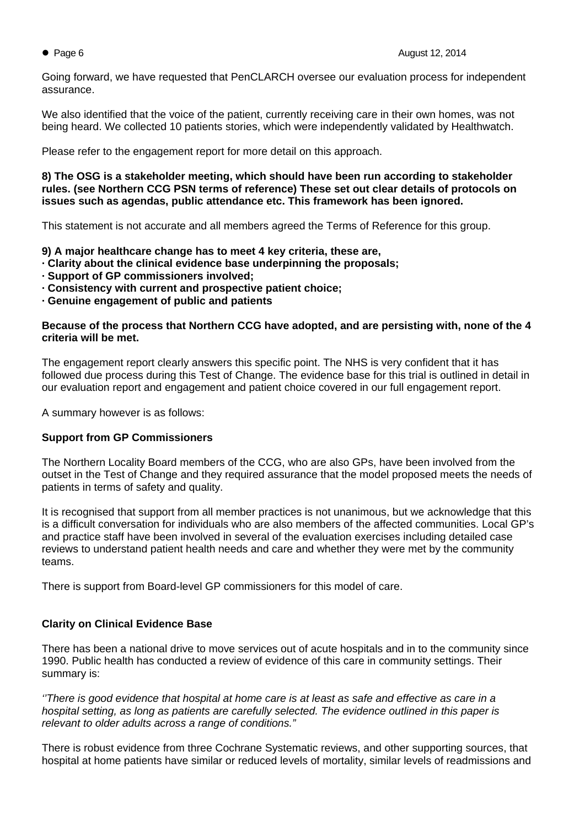Going forward, we have requested that PenCLARCH oversee our evaluation process for independent assurance.

We also identified that the voice of the patient, currently receiving care in their own homes, was not being heard. We collected 10 patients stories, which were independently validated by Healthwatch.

Please refer to the engagement report for more detail on this approach.

**8) The OSG is a stakeholder meeting, which should have been run according to stakeholder rules. (see Northern CCG PSN terms of reference) These set out clear details of protocols on issues such as agendas, public attendance etc. This framework has been ignored.** 

This statement is not accurate and all members agreed the Terms of Reference for this group.

**9) A major healthcare change has to meet 4 key criteria, these are,** 

- **· Clarity about the clinical evidence base underpinning the proposals;**
- **· Support of GP commissioners involved;**
- **· Consistency with current and prospective patient choice;**
- **· Genuine engagement of public and patients**

### **Because of the process that Northern CCG have adopted, and are persisting with, none of the 4 criteria will be met.**

The engagement report clearly answers this specific point. The NHS is very confident that it has followed due process during this Test of Change. The evidence base for this trial is outlined in detail in our evaluation report and engagement and patient choice covered in our full engagement report.

A summary however is as follows:

# **Support from GP Commissioners**

The Northern Locality Board members of the CCG, who are also GPs, have been involved from the outset in the Test of Change and they required assurance that the model proposed meets the needs of patients in terms of safety and quality.

It is recognised that support from all member practices is not unanimous, but we acknowledge that this is a difficult conversation for individuals who are also members of the affected communities. Local GP's and practice staff have been involved in several of the evaluation exercises including detailed case reviews to understand patient health needs and care and whether they were met by the community teams.

There is support from Board-level GP commissioners for this model of care.

# **Clarity on Clinical Evidence Base**

There has been a national drive to move services out of acute hospitals and in to the community since 1990. Public health has conducted a review of evidence of this care in community settings. Their summary is:

*''There is good evidence that hospital at home care is at least as safe and effective as care in a hospital setting, as long as patients are carefully selected. The evidence outlined in this paper is relevant to older adults across a range of conditions."* 

There is robust evidence from three Cochrane Systematic reviews, and other supporting sources, that hospital at home patients have similar or reduced levels of mortality, similar levels of readmissions and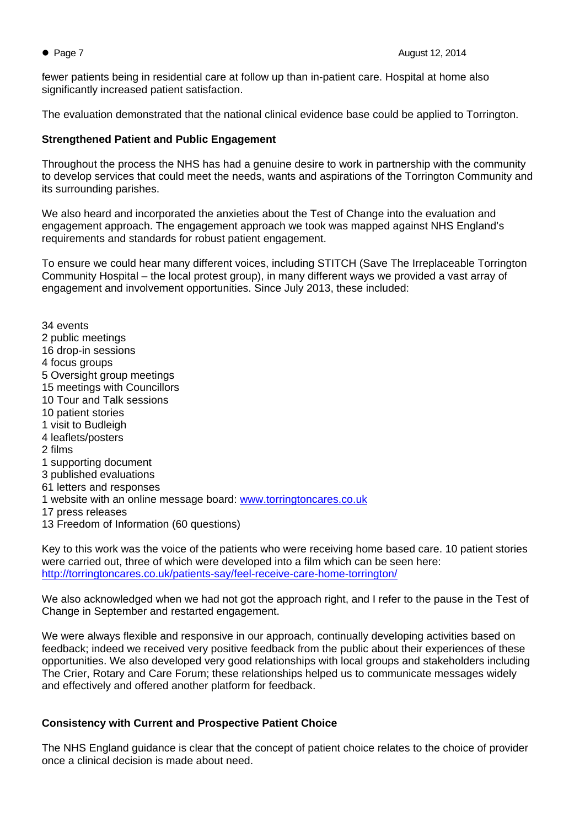fewer patients being in residential care at follow up than in-patient care. Hospital at home also significantly increased patient satisfaction.

The evaluation demonstrated that the national clinical evidence base could be applied to Torrington.

# **Strengthened Patient and Public Engagement**

Throughout the process the NHS has had a genuine desire to work in partnership with the community to develop services that could meet the needs, wants and aspirations of the Torrington Community and its surrounding parishes.

We also heard and incorporated the anxieties about the Test of Change into the evaluation and engagement approach. The engagement approach we took was mapped against NHS England's requirements and standards for robust patient engagement.

To ensure we could hear many different voices, including STITCH (Save The Irreplaceable Torrington Community Hospital – the local protest group), in many different ways we provided a vast array of engagement and involvement opportunities. Since July 2013, these included:

34 events 2 public meetings 16 drop-in sessions 4 focus groups 5 Oversight group meetings 15 meetings with Councillors 10 Tour and Talk sessions 10 patient stories 1 visit to Budleigh 4 leaflets/posters 2 films 1 supporting document 3 published evaluations 61 letters and responses 1 website with an online message board: [www.torringtoncares.co.uk](http://www.torringtoncares.co.uk/) 17 press releases 13 Freedom of Information (60 questions)

Key to this work was the voice of the patients who were receiving home based care. 10 patient stories were carried out, three of which were developed into a film which can be seen here: <http://torringtoncares.co.uk/patients-say/feel-receive-care-home-torrington/>

We also acknowledged when we had not got the approach right, and I refer to the pause in the Test of Change in September and restarted engagement.

We were always flexible and responsive in our approach, continually developing activities based on feedback; indeed we received very positive feedback from the public about their experiences of these opportunities. We also developed very good relationships with local groups and stakeholders including The Crier, Rotary and Care Forum; these relationships helped us to communicate messages widely and effectively and offered another platform for feedback.

# **Consistency with Current and Prospective Patient Choice**

The NHS England guidance is clear that the concept of patient choice relates to the choice of provider once a clinical decision is made about need.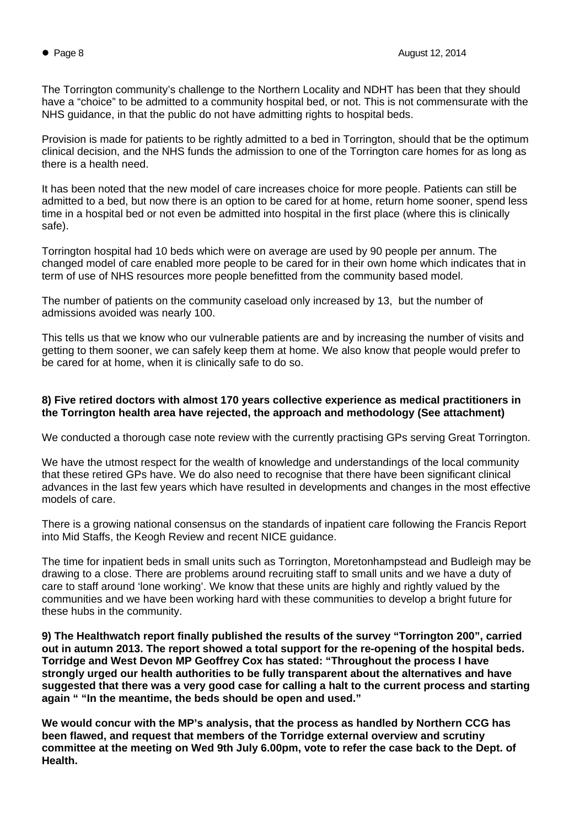The Torrington community's challenge to the Northern Locality and NDHT has been that they should have a "choice" to be admitted to a community hospital bed, or not. This is not commensurate with the NHS guidance, in that the public do not have admitting rights to hospital beds.

Provision is made for patients to be rightly admitted to a bed in Torrington, should that be the optimum clinical decision, and the NHS funds the admission to one of the Torrington care homes for as long as there is a health need.

It has been noted that the new model of care increases choice for more people. Patients can still be admitted to a bed, but now there is an option to be cared for at home, return home sooner, spend less time in a hospital bed or not even be admitted into hospital in the first place (where this is clinically safe).

Torrington hospital had 10 beds which were on average are used by 90 people per annum. The changed model of care enabled more people to be cared for in their own home which indicates that in term of use of NHS resources more people benefitted from the community based model.

The number of patients on the community caseload only increased by 13, but the number of admissions avoided was nearly 100.

This tells us that we know who our vulnerable patients are and by increasing the number of visits and getting to them sooner, we can safely keep them at home. We also know that people would prefer to be cared for at home, when it is clinically safe to do so.

# **8) Five retired doctors with almost 170 years collective experience as medical practitioners in the Torrington health area have rejected, the approach and methodology (See attachment)**

We conducted a thorough case note review with the currently practising GPs serving Great Torrington.

We have the utmost respect for the wealth of knowledge and understandings of the local community that these retired GPs have. We do also need to recognise that there have been significant clinical advances in the last few years which have resulted in developments and changes in the most effective models of care.

There is a growing national consensus on the standards of inpatient care following the Francis Report into Mid Staffs, the Keogh Review and recent NICE guidance.

The time for inpatient beds in small units such as Torrington, Moretonhampstead and Budleigh may be drawing to a close. There are problems around recruiting staff to small units and we have a duty of care to staff around 'lone working'. We know that these units are highly and rightly valued by the communities and we have been working hard with these communities to develop a bright future for these hubs in the community.

**9) The Healthwatch report finally published the results of the survey "Torrington 200", carried out in autumn 2013. The report showed a total support for the re-opening of the hospital beds. Torridge and West Devon MP Geoffrey Cox has stated: "Throughout the process I have strongly urged our health authorities to be fully transparent about the alternatives and have suggested that there was a very good case for calling a halt to the current process and starting again " "In the meantime, the beds should be open and used."**

**We would concur with the MP's analysis, that the process as handled by Northern CCG has been flawed, and request that members of the Torridge external overview and scrutiny committee at the meeting on Wed 9th July 6.00pm, vote to refer the case back to the Dept. of Health.**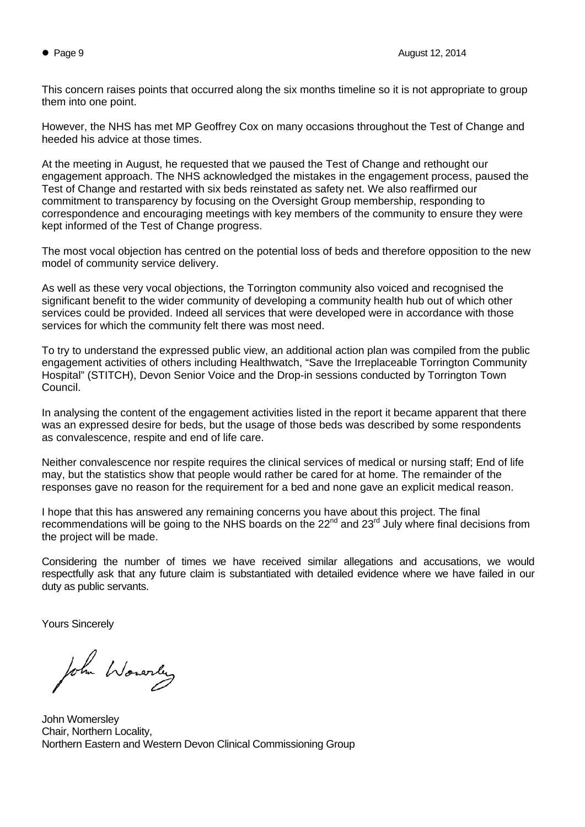This concern raises points that occurred along the six months timeline so it is not appropriate to group them into one point.

However, the NHS has met MP Geoffrey Cox on many occasions throughout the Test of Change and heeded his advice at those times.

At the meeting in August, he requested that we paused the Test of Change and rethought our engagement approach. The NHS acknowledged the mistakes in the engagement process, paused the Test of Change and restarted with six beds reinstated as safety net. We also reaffirmed our commitment to transparency by focusing on the Oversight Group membership, responding to correspondence and encouraging meetings with key members of the community to ensure they were kept informed of the Test of Change progress.

The most vocal objection has centred on the potential loss of beds and therefore opposition to the new model of community service delivery.

As well as these very vocal objections, the Torrington community also voiced and recognised the significant benefit to the wider community of developing a community health hub out of which other services could be provided. Indeed all services that were developed were in accordance with those services for which the community felt there was most need.

To try to understand the expressed public view, an additional action plan was compiled from the public engagement activities of others including Healthwatch, "Save the Irreplaceable Torrington Community Hospital" (STITCH), Devon Senior Voice and the Drop-in sessions conducted by Torrington Town Council.

In analysing the content of the engagement activities listed in the report it became apparent that there was an expressed desire for beds, but the usage of those beds was described by some respondents as convalescence, respite and end of life care.

Neither convalescence nor respite requires the clinical services of medical or nursing staff; End of life may, but the statistics show that people would rather be cared for at home. The remainder of the responses gave no reason for the requirement for a bed and none gave an explicit medical reason.

I hope that this has answered any remaining concerns you have about this project. The final recommendations will be going to the NHS boards on the 22<sup>nd</sup> and 23<sup>rd</sup> July where final decisions from the project will be made.

Considering the number of times we have received similar allegations and accusations, we would respectfully ask that any future claim is substantiated with detailed evidence where we have failed in our duty as public servants.

Yours Sincerely

John Wonerly

John Womersley Chair, Northern Locality, Northern Eastern and Western Devon Clinical Commissioning Group